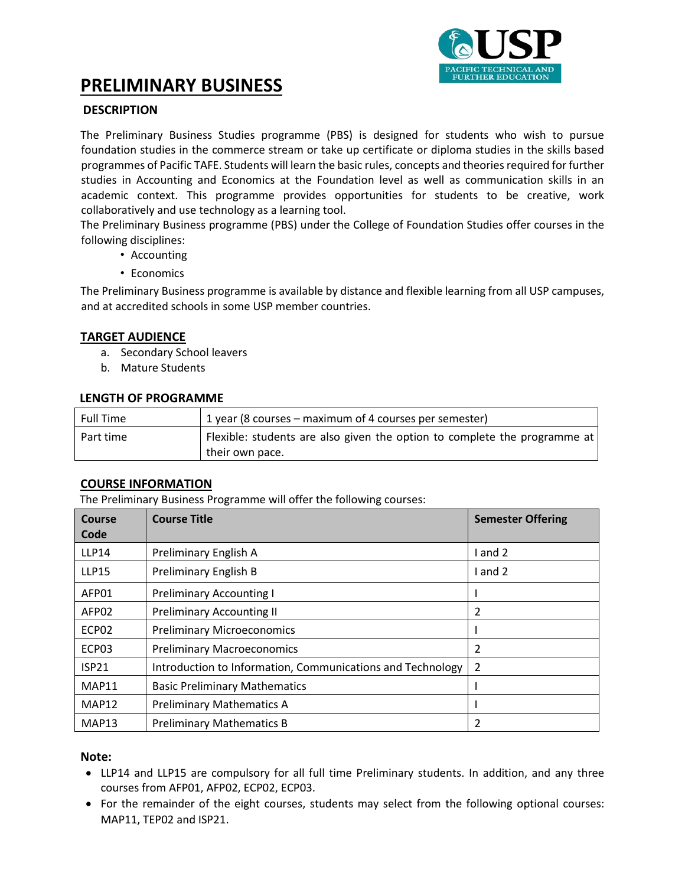

# **PRELIMINARY BUSINESS**

# **.DESCRIPTION**

The Preliminary Business Studies programme (PBS) is designed for students who wish to pursue foundation studies in the commerce stream or take up certificate or diploma studies in the skills based programmes of Pacific TAFE. Students will learn the basic rules, concepts and theories required for further studies in Accounting and Economics at the Foundation level as well as communication skills in an academic context. This programme provides opportunities for students to be creative, work collaboratively and use technology as a learning tool.

The Preliminary Business programme (PBS) under the College of Foundation Studies offer courses in the following disciplines:

- Accounting
- Economics

The Preliminary Business programme is available by distance and flexible learning from all USP campuses, and at accredited schools in some USP member countries.

## **TARGET AUDIENCE**

- a. Secondary School leavers
- b. Mature Students

## **LENGTH OF PROGRAMME**

| <b>Full Time</b> | 1 year (8 courses – maximum of 4 courses per semester)                                       |
|------------------|----------------------------------------------------------------------------------------------|
| Part time        | Flexible: students are also given the option to complete the programme at<br>their own pace. |

## **COURSE INFORMATION**

The Preliminary Business Programme will offer the following courses:

| Course<br>Code    | <b>Course Title</b>                                        | <b>Semester Offering</b> |
|-------------------|------------------------------------------------------------|--------------------------|
| LLP14             | Preliminary English A                                      | I and 2                  |
| <b>LLP15</b>      | Preliminary English B                                      | I and 2                  |
| AFP01             | <b>Preliminary Accounting I</b>                            |                          |
| AFP <sub>02</sub> | <b>Preliminary Accounting II</b>                           | 2                        |
| ECP <sub>02</sub> | <b>Preliminary Microeconomics</b>                          |                          |
| ECP <sub>03</sub> | <b>Preliminary Macroeconomics</b>                          | 2                        |
| <b>ISP21</b>      | Introduction to Information, Communications and Technology | $\overline{2}$           |
| MAP11             | <b>Basic Preliminary Mathematics</b>                       |                          |
| MAP12             | <b>Preliminary Mathematics A</b>                           |                          |
| MAP <sub>13</sub> | <b>Preliminary Mathematics B</b>                           | 2                        |

## **Note:**

- LLP14 and LLP15 are compulsory for all full time Preliminary students. In addition, and any three courses from AFP01, AFP02, ECP02, ECP03.
- For the remainder of the eight courses, students may select from the following optional courses: MAP11, TEP02 and ISP21.